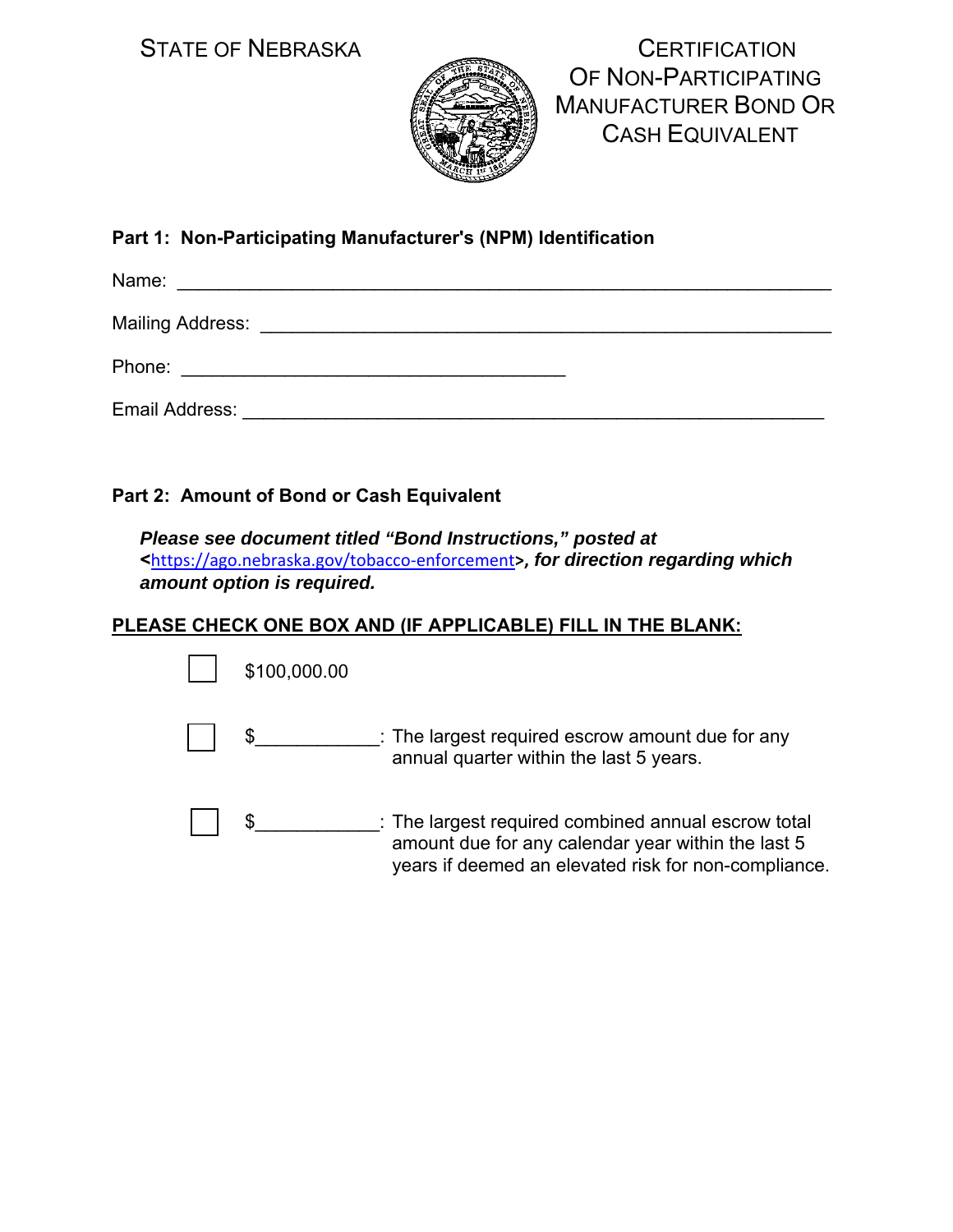

STATE OF NEBRASKA CONSUMING A CERTIFICATION OF NON-PARTICIPATING MANUFACTURER BOND OR CASH EQUIVALENT

# **Part 1: Non-Participating Manufacturer's (NPM) Identification**

| Name:          |  |  |
|----------------|--|--|
|                |  |  |
| Phone:         |  |  |
| Email Address: |  |  |

#### **Part 2: Amount of Bond or Cash Equivalent**

*Please see document titled "Bond Instructions," posted at*  **<**https://ago.nebraska.gov/tobacco‐enforcement**>,** *for direction regarding which amount option is required.* 

## **PLEASE CHECK ONE BOX AND (IF APPLICABLE) FILL IN THE BLANK:**

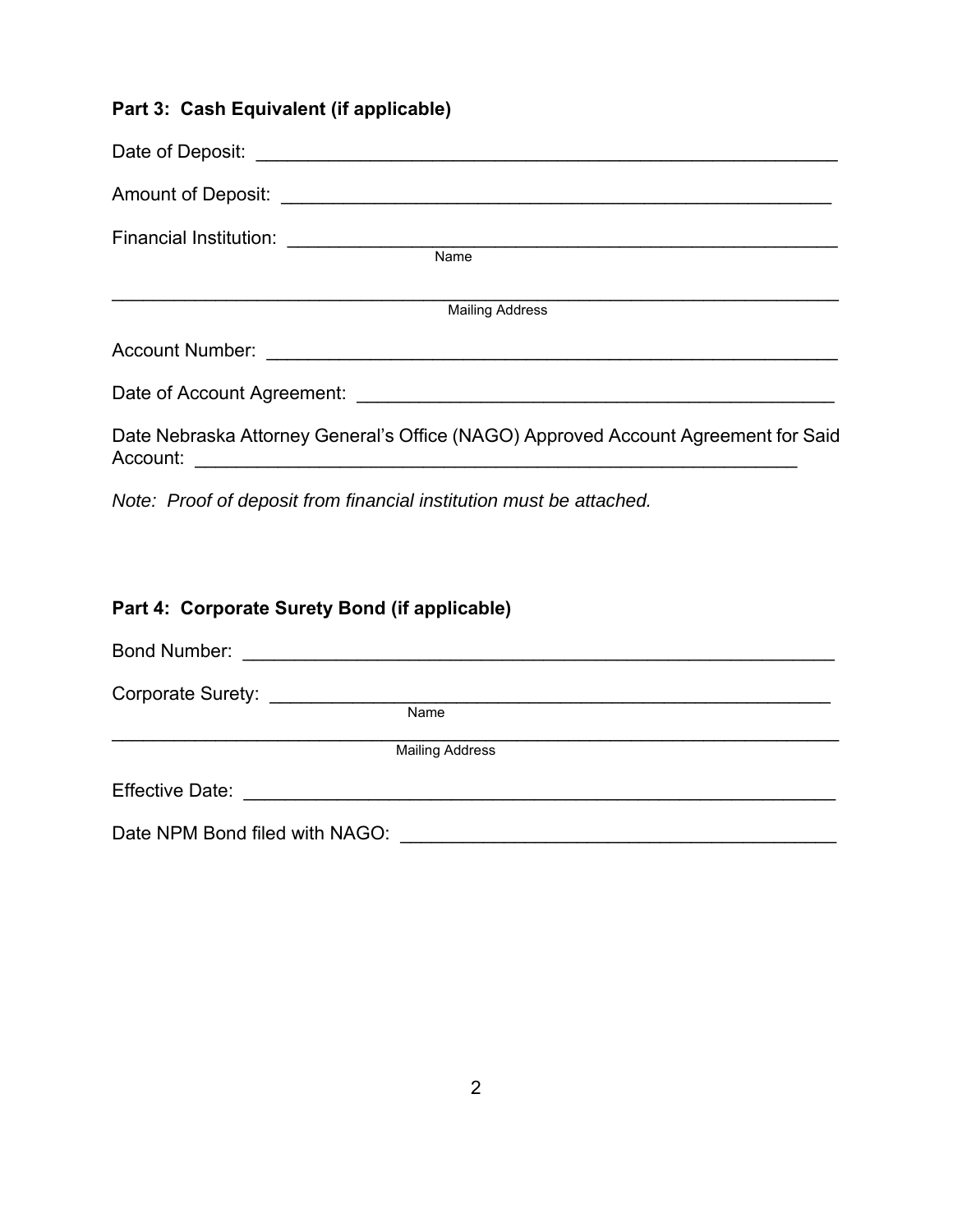### **Part 3: Cash Equivalent (if applicable)**

| Financial Institution: ________________<br><b>Name</b>                                         |
|------------------------------------------------------------------------------------------------|
| <b>Mailing Address</b>                                                                         |
| <b>Account Number:</b>                                                                         |
|                                                                                                |
| Date Nebraska Attorney General's Office (NAGO) Approved Account Agreement for Said<br>Account: |

*Note: Proof of deposit from financial institution must be attached.* 

# **Part 4: Corporate Surety Bond (if applicable)**

| Bond Number: <u>__________________________</u> |                        |  |
|------------------------------------------------|------------------------|--|
|                                                |                        |  |
|                                                | Name                   |  |
|                                                | <b>Mailing Address</b> |  |
| <b>Effective Date:</b>                         |                        |  |
| Date NPM Bond filed with NAGO:                 |                        |  |